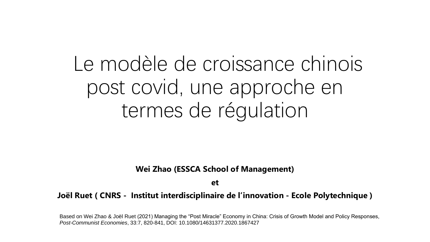Le modèle de croissance chinois post covid, une approche en termes de régulation

**Wei Zhao (ESSCA School of Management)**

**et** 

**Joël Ruet ( CNRS - Institut interdisciplinaire de l'innovation - Ecole Polytechnique )**

Based on Wei Zhao & Joël Ruet (2021) Managing the "Post Miracle" Economy in China: Crisis of Growth Model and Policy Responses, *Post-Communist Economies*, 33:7, 820-841, DOI: 10.1080/14631377.2020.1867427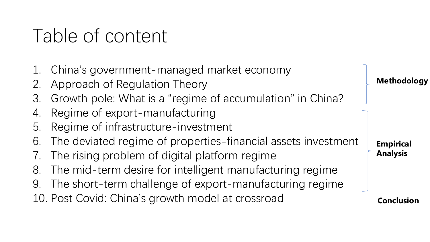# Table of content

- 1. China's government-managed market economy
- 2. Approach of Regulation Theory
- 3. Growth pole: What is a "regime of accumulation" in China?
- 4. Regime of export-manufacturing
- 5. Regime of infrastructure-investment
- 6. The deviated regime of properties-financial assets investment
- 7. The rising problem of digital platform regime
- 8. The mid-term desire for intelligent manufacturing regime
- 9. The short-term challenge of export-manufacturing regime
- 10. Post Covid: China's growth model at crossroad

**Methodology**

**Empirical Analysis**

**Conclusion**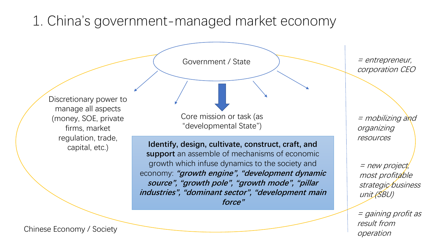### 1. China's government-managed market economy

Discretionary power to manage all aspects (money, SOE, private firms, market regulation, trade, capital, etc.)

Government / State

Core mission or task (as "developmental State")

**Identify, design, cultivate, construct, craft, and support** an assemble of mechanisms of economic growth which infuse dynamics to the society and economy: **"growth engine", "development dynamic source", "growth pole", "growth mode", "pillar industries", "dominant sector", "development main force"**

= entrepreneur, corporation CEO

= mobilizing and organizing resources

= new project, most profitable strategic business unit (SBU)

= gaining profit as result from operation

Chinese Economy / Society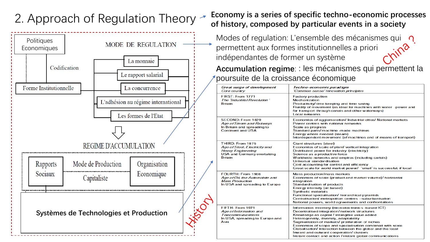



#### 2. Approach of Regulation Theory **Economy is a series of specific techno-economic processes of history, composed by particular events in a society**

Modes of regulation: L'ensemble des mécanismes qui  $\Omega$ permettent aux formes institutionnelles a priori indépendantes de former un système

**Accumulation regime**: : les mécanismes qui permettent la poursuite de la croissance économique

| <b>Great surge of development</b><br><b>Core country</b>                                                                             | Techno-economic paradigm<br>'Common-sense' innovation principles                                                                                                                                                                                                                                                                                                                                                                                                                       |  |
|--------------------------------------------------------------------------------------------------------------------------------------|----------------------------------------------------------------------------------------------------------------------------------------------------------------------------------------------------------------------------------------------------------------------------------------------------------------------------------------------------------------------------------------------------------------------------------------------------------------------------------------|--|
| FIRST: From 1771<br>The 'Industrial Revolution'<br><b>Britain</b>                                                                    | <b>Factory production</b><br><b>Mechanization</b><br>Productivity/time keeping and time saving<br>Fluidity of movement (as ideal for machines with water -power and<br>for transport through canals and other waterways)<br><b>Local networks</b>                                                                                                                                                                                                                                      |  |
| SECOND: From 1829<br>Age of Steam and Railways<br>In Britain and spreading to<br><b>Continent and USA</b>                            | Economies of agglomeration/ Industrial cities/ National markets<br>Power centres with national networks<br>Scale as progress<br>Standard parts/machine -made machines<br>Energy where needed (steam)<br>Interdependent movement (of machines and of means of transport)                                                                                                                                                                                                                |  |
| THIRD: From 1875<br>Age of Steel, Electricity and<br><b>Heavy Engineering</b><br><b>USA and Germany overtaking</b><br><b>Britain</b> | <b>Giant structures (steel)</b><br>Economies of scale of plant/vertical integration<br>Distributed power for industry (electricity)<br>Science as a productive force<br>Worldwide networks and empires (including cartels)<br>Universal standardisation<br>Cost accounting for control and efficiency<br>Great scale for world market power/ 'small' is successful, if local                                                                                                           |  |
| FOURTH: From 1908<br>Age of Oil, the Automobile and<br><b>Mass Production</b><br>In USA and spreading to Europe                      | Mass production/mass markets<br>Economies of scale (product and market volume)/horizontal<br>integration<br>Standardisation of products<br>Energy intensity (oil based)<br>Synthetic materials<br>Functional specialisation/ hierarchical pyramids<br>Centralisation/ metropolitan centres -suburbanisation<br>National powers, world agreements and confrontations                                                                                                                    |  |
| FIFTH: From 1971<br>Age of Information and<br><b>Telecommunications</b><br>In USA, spreading to Europe and<br>Asia                   | Information-intensity (microelectronics-based ICT)<br>Decentralised integration/network structures<br>Knowledge as capital / intangible value added<br>Heterogeneity, diversity, adaptability<br>Segmentation of markets/ proliferation of niches<br>Economies of scope and specialisation combined with scale<br>Globalisation/ interaction between the global and the local<br>Inward and outward cooperation/clusters<br>Instant contact and action / instant global communications |  |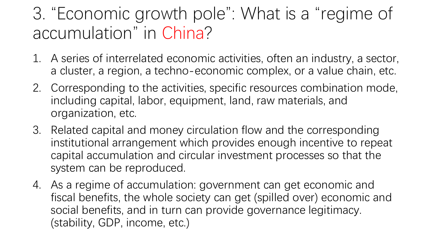## 3. "Economic growth pole": What is a "regime of accumulation" in China?

- 1. A series of interrelated economic activities, often an industry, a sector, a cluster, a region, a techno-economic complex, or a value chain, etc.
- 2. Corresponding to the activities, specific resources combination mode, including capital, labor, equipment, land, raw materials, and organization, etc.
- 3. Related capital and money circulation flow and the corresponding institutional arrangement which provides enough incentive to repeat capital accumulation and circular investment processes so that the system can be reproduced.
- 4. As a regime of accumulation: government can get economic and fiscal benefits, the whole society can get (spilled over) economic and social benefits, and in turn can provide governance legitimacy. (stability, GDP, income, etc.)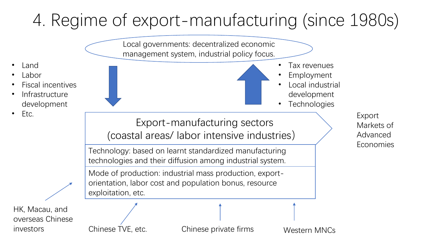# 4. Regime of export-manufacturing (since 1980s)

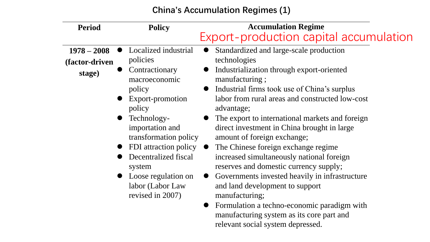**China's Accumulation Regimes (1)**

| <b>Period</b>                             | <b>Policy</b>                                                                                                                                                                                                           | <b>Accumulation Regime</b><br>Export-production capital accumulation                                                                                                                                                                                                                                                                                                                                                                                                      |
|-------------------------------------------|-------------------------------------------------------------------------------------------------------------------------------------------------------------------------------------------------------------------------|---------------------------------------------------------------------------------------------------------------------------------------------------------------------------------------------------------------------------------------------------------------------------------------------------------------------------------------------------------------------------------------------------------------------------------------------------------------------------|
| $1978 - 2008$<br>(factor-driven<br>stage) | Localized industrial<br>policies<br>Contractionary<br>macroeconomic<br>policy<br>Export-promotion<br>policy<br>Technology-<br>importation and<br>transformation policy<br>FDI attraction policy<br>Decentralized fiscal | Standardized and large-scale production<br>technologies<br>Industrialization through export-oriented<br>manufacturing;<br>Industrial firms took use of China's surplus<br>labor from rural areas and constructed low-cost<br>advantage;<br>The export to international markets and foreign<br>direct investment in China brought in large<br>amount of foreign exchange;<br>The Chinese foreign exchange regime<br>$\bullet$<br>increased simultaneously national foreign |
|                                           | system<br>Loose regulation on<br>labor (Labor Law<br>revised in 2007)                                                                                                                                                   | reserves and domestic currency supply;<br>Governments invested heavily in infrastructure<br>and land development to support<br>manufacturing;<br>Formulation a techno-economic paradigm with<br>$\bullet$<br>manufacturing system as its core part and<br>relevant social system depressed.                                                                                                                                                                               |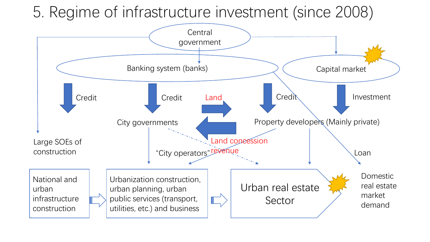### 5. Regime of infrastructure investment (since 2008)

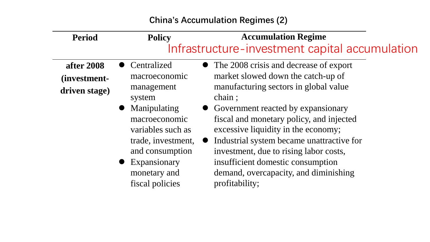#### **China's Accumulation Regimes (2)**

| <b>Period</b>                               | <b>Policy</b>                                                                                                                                                                                          | <b>Accumulation Regime</b><br>Infrastructure-investment capital accumulation                                                                                                                                                                                                                                                                                                                                                                        |
|---------------------------------------------|--------------------------------------------------------------------------------------------------------------------------------------------------------------------------------------------------------|-----------------------------------------------------------------------------------------------------------------------------------------------------------------------------------------------------------------------------------------------------------------------------------------------------------------------------------------------------------------------------------------------------------------------------------------------------|
| after 2008<br>(investment-<br>driven stage) | Centralized<br>macroeconomic<br>management<br>system<br>Manipulating<br>macroeconomic<br>variables such as<br>trade, investment,<br>and consumption<br>Expansionary<br>monetary and<br>fiscal policies | • The 2008 crisis and decrease of export<br>market slowed down the catch-up of<br>manufacturing sectors in global value<br>chain;<br>• Government reacted by expansionary<br>fiscal and monetary policy, and injected<br>excessive liquidity in the economy;<br>Industrial system became unattractive for<br>investment, due to rising labor costs,<br>insufficient domestic consumption<br>demand, overcapacity, and diminishing<br>profitability; |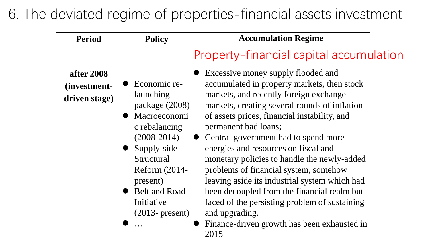### 6. The deviated regime of properties-financial assets investment

| <b>Period</b> | <b>Policy</b>                                                | <b>Accumulation Regime</b>                                                                                                                                      |  |  |  |
|---------------|--------------------------------------------------------------|-----------------------------------------------------------------------------------------------------------------------------------------------------------------|--|--|--|
|               | Property-financial capital accumulation                      |                                                                                                                                                                 |  |  |  |
| after 2008    |                                                              | Excessive money supply flooded and                                                                                                                              |  |  |  |
| (investment-  | Economic re-                                                 | accumulated in property markets, then stock                                                                                                                     |  |  |  |
| driven stage) | launching<br>package (2008)<br>Macroeconomi<br>c rebalancing | markets, and recently foreign exchange<br>markets, creating several rounds of inflation<br>of assets prices, financial instability, and<br>permanent bad loans; |  |  |  |
|               | $(2008 - 2014)$                                              | Central government had to spend more                                                                                                                            |  |  |  |
|               | • Supply-side                                                | energies and resources on fiscal and                                                                                                                            |  |  |  |
|               | Structural<br><b>Reform (2014-</b><br>present)               | monetary policies to handle the newly-added<br>problems of financial system, somehow<br>leaving aside its industrial system which had                           |  |  |  |
|               | Belt and Road                                                | been decoupled from the financial realm but                                                                                                                     |  |  |  |
|               | Initiative                                                   | faced of the persisting problem of sustaining                                                                                                                   |  |  |  |
|               | $(2013 - present)$                                           | and upgrading.                                                                                                                                                  |  |  |  |
|               |                                                              | Finance-driven growth has been exhausted in<br>2015                                                                                                             |  |  |  |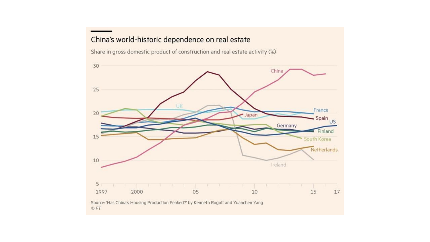#### China's world-historic dependence on real estate

Share in gross domestic product of construction and real estate activity (%)

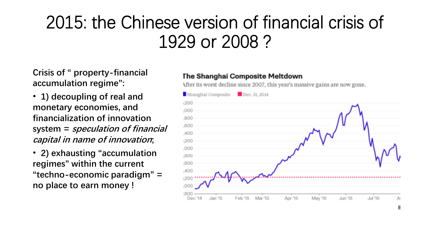## 2015: the Chinese version of financial crisis of 1929 or 2008 ?

**Crisis of " property-financial accumulation regime":** 

- **1) decoupling of real and monetary economies, and financialization of innovation system = speculation of financial capital in name of innovation;**
- **2) exhausting "accumulation regimes" within the current "techno-economic paradigm" = no place to earn money !**

#### The Shanghai Composite Meltdown

After its worst decline since 2007, this year's massive gains are now gone.

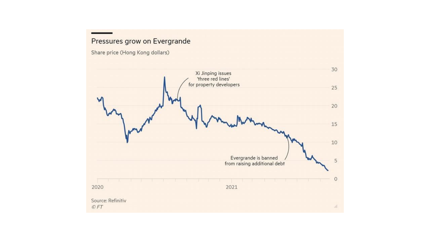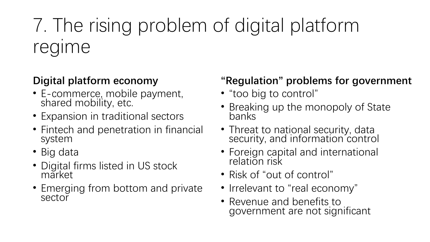# 7. The rising problem of digital platform regime

### **Digital platform economy**

- E-commerce, mobile payment, shared mobility, etc.
- Expansion in traditional sectors
- Fintech and penetration in financial system
- Big data
- Digital firms listed in US stock market
- Emerging from bottom and private sector

### **"Regulation" problems for government**

- "too big to control"
- Breaking up the monopoly of State banks
- Threat to national security, data security, and information control
- Foreign capital and international relation risk
- Risk of "out of control"
- Irrelevant to "real economy"
- Revenue and benefits to government are not significant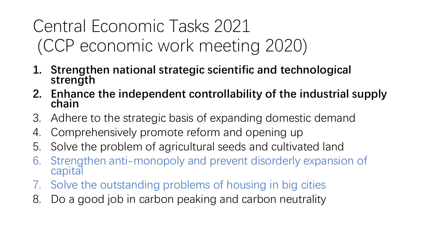## Central Economic Tasks 2021 (CCP economic work meeting 2020)

- **1. Strengthen national strategic scientific and technological strength**
- **2. Enhance the independent controllability of the industrial supply chain**
- 3. Adhere to the strategic basis of expanding domestic demand
- 4. Comprehensively promote reform and opening up
- 5. Solve the problem of agricultural seeds and cultivated land
- 6. Strengthen anti-monopoly and prevent disorderly expansion of capital
- 7. Solve the outstanding problems of housing in big cities
- 8. Do a good job in carbon peaking and carbon neutrality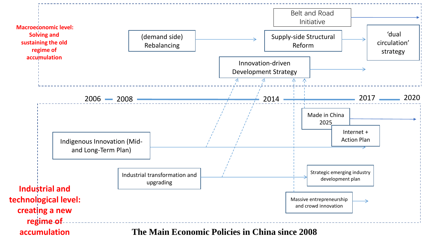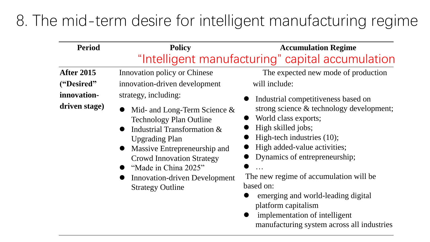### 8. The mid-term desire for intelligent manufacturing regime

| <b>Period</b>                                                   | <b>Policy</b>                                                                                                                                                                                                                                                                                                                                                                            | <b>Accumulation Regime</b>                                                                                                                                                                                                                                                                                                                                                                                                                                                                                     |
|-----------------------------------------------------------------|------------------------------------------------------------------------------------------------------------------------------------------------------------------------------------------------------------------------------------------------------------------------------------------------------------------------------------------------------------------------------------------|----------------------------------------------------------------------------------------------------------------------------------------------------------------------------------------------------------------------------------------------------------------------------------------------------------------------------------------------------------------------------------------------------------------------------------------------------------------------------------------------------------------|
|                                                                 |                                                                                                                                                                                                                                                                                                                                                                                          | "Intelligent manufacturing" capital accumulation                                                                                                                                                                                                                                                                                                                                                                                                                                                               |
| <b>After 2015</b><br>("Desired"<br>innovation-<br>driven stage) | <b>Innovation policy or Chinese</b><br>innovation-driven development<br>strategy, including:<br>Mid- and Long-Term Science $\&$<br><b>Technology Plan Outline</b><br>Industrial Transformation &<br><b>Upgrading Plan</b><br>Massive Entrepreneurship and<br><b>Crowd Innovation Strategy</b><br>"Made in China 2025"<br><b>Innovation-driven Development</b><br><b>Strategy Outline</b> | The expected new mode of production<br>will include:<br>Industrial competitiveness based on<br>strong science & technology development;<br>World class exports;<br>High skilled jobs;<br>High-tech industries (10);<br>High added-value activities;<br>Dynamics of entrepreneurship;<br>$\dddot{\bullet}$ .<br>The new regime of accumulation will be<br>based on:<br>emerging and world-leading digital<br>platform capitalism<br>implementation of intelligent<br>manufacturing system across all industries |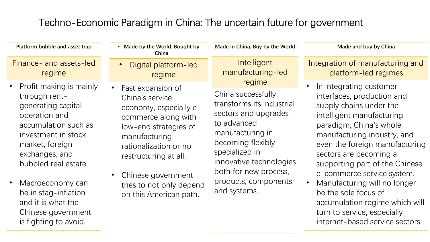### Techno-Economic Paradigm in China: The uncertain future for government

**Platform bubble and asset trap**

Finance- and assets-led regime

- Profit making is mainly through rentgenerating capital operation and accumulation such as investment in stock market, foreign exchanges, and bubbled real estate.
- Macroeconomy can be in stag-inflation and it is what the Chinese government is fighting to avoid.
- **Made by the World, Bought by China**
- Digital platform-led regime
- Fast expansion of China's service economy, especially ecommerce along with low-end strategies of manufacturing rationalization or no restructuring at all.
- Chinese government tries to not only depend on this American path.

**Intelligent** manufacturing-led regime

**Made in China, Buy by the World**

China successfully transforms its industrial sectors and upgrades to advanced manufacturing in becoming flexibly specialized in innovative technologies both for new process, products, components, and systems.

**Made and buy by China**

Integration of manufacturing and platform-led regimes

- In integrating customer interfaces, production and supply chains under the intelligent manufacturing paradigm, China's whole manufacturing industry, and even the foreign manufacturing sectors are becoming a supporting part of the Chinese e-commerce service system.
- Manufacturing will no longer be the sole focus of accumulation regime which will turn to service, especially internet-based service sectors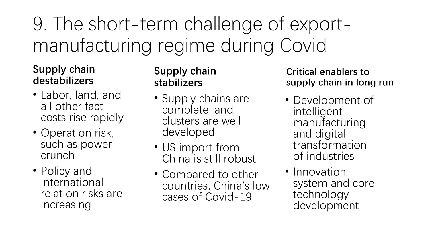# 9. The short-term challenge of exportmanufacturing regime during Covid

### **Supply chain destabilizers**

- Labor, land, and all other fact costs rise rapidly
- Operation risk, such as power crunch
- Policy and international relation risks are increasing

### **Supply chain stabilizers**

- Supply chains are complete, and clusters are well developed
- US import from China is still robust
- Compared to other countries, China's low cases of Covid-19

#### **Critical enablers to supply chain in long run**

- Development of intelligent manufacturing and digital transformation of industries
- Innovation system and core technology development